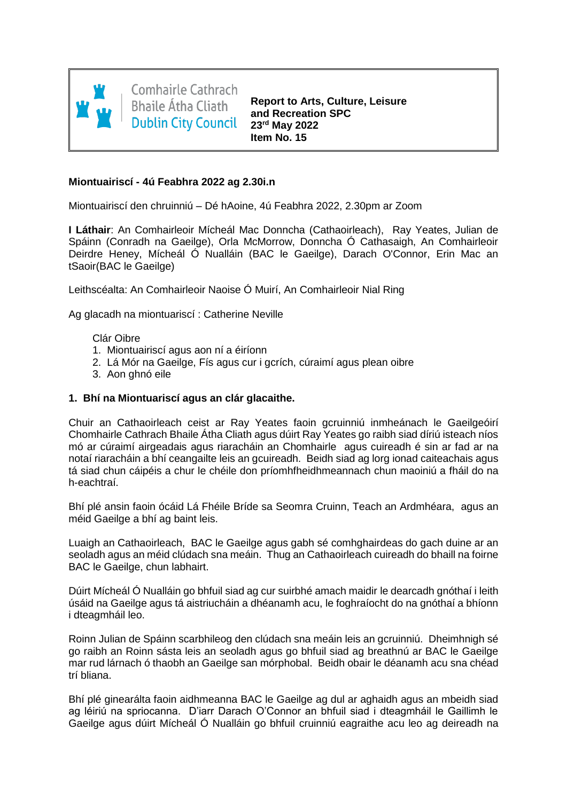

**Comhairle Cathrach Bhaile Átha Cliath Dublin City Council** 

**Report to Arts, Culture, Leisure and Recreation SPC 23rd May 2022 Item No. 15**

# **Miontuairiscí - 4ú Feabhra 2022 ag 2.30i.n**

Miontuairiscí den chruinniú – Dé hAoine, 4ú Feabhra 2022, 2.30pm ar Zoom

**I Láthair**: An Comhairleoir Mícheál Mac Donncha (Cathaoirleach), Ray Yeates, Julian de Spáinn (Conradh na Gaeilge), Orla McMorrow, Donncha Ó Cathasaigh, An Comhairleoir Deirdre Heney, Mícheál Ó Nualláin (BAC le Gaeilge), Darach O'Connor, Erin Mac an tSaoir(BAC le Gaeilge)

Leithscéalta: An Comhairleoir Naoise Ó Muirí, An Comhairleoir Nial Ring

Ag glacadh na miontuariscí : Catherine Neville

Clár Oibre

- 1. Miontuairiscí agus aon ní a éiríonn
- 2. Lá Mór na Gaeilge, Fís agus cur i gcrích, cúraimí agus plean oibre
- 3. Aon ghnó eile

### **1. Bhí na Miontuariscí agus an clár glacaithe.**

Chuir an Cathaoirleach ceist ar Ray Yeates faoin gcruinniú inmheánach le Gaeilgeóirí Chomhairle Cathrach Bhaile Átha Cliath agus dúirt Ray Yeates go raibh siad díriú isteach níos mó ar cúraimí airgeadais agus riaracháin an Chomhairle agus cuireadh é sin ar fad ar na notaí riaracháin a bhí ceangailte leis an gcuireadh. Beidh siad ag lorg ionad caiteachais agus tá siad chun cáipéis a chur le chéile don príomhfheidhmeannach chun maoiniú a fháil do na h-eachtraí.

Bhí plé ansin faoin ócáid Lá Fhéile Bríde sa Seomra Cruinn, Teach an Ardmhéara, agus an méid Gaeilge a bhí ag baint leis.

Luaigh an Cathaoirleach, BAC le Gaeilge agus gabh sé comhghairdeas do gach duine ar an seoladh agus an méid clúdach sna meáin. Thug an Cathaoirleach cuireadh do bhaill na foirne BAC le Gaeilge, chun labhairt.

Dúirt Mícheál Ó Nualláin go bhfuil siad ag cur suirbhé amach maidir le dearcadh gnóthaí i leith úsáid na Gaeilge agus tá aistriucháin a dhéanamh acu, le foghraíocht do na gnóthaí a bhíonn i dteagmháil leo.

Roinn Julian de Spáinn scarbhileog den clúdach sna meáin leis an gcruinniú. Dheimhnigh sé go raibh an Roinn sásta leis an seoladh agus go bhfuil siad ag breathnú ar BAC le Gaeilge mar rud lárnach ó thaobh an Gaeilge san mórphobal. Beidh obair le déanamh acu sna chéad trí bliana.

Bhí plé ginearálta faoin aidhmeanna BAC le Gaeilge ag dul ar aghaidh agus an mbeidh siad ag léiriú na spriocanna. D'iarr Darach O'Connor an bhfuil siad i dteagmháil le Gaillimh le Gaeilge agus dúirt Mícheál Ó Nualláin go bhfuil cruinniú eagraithe acu leo ag deireadh na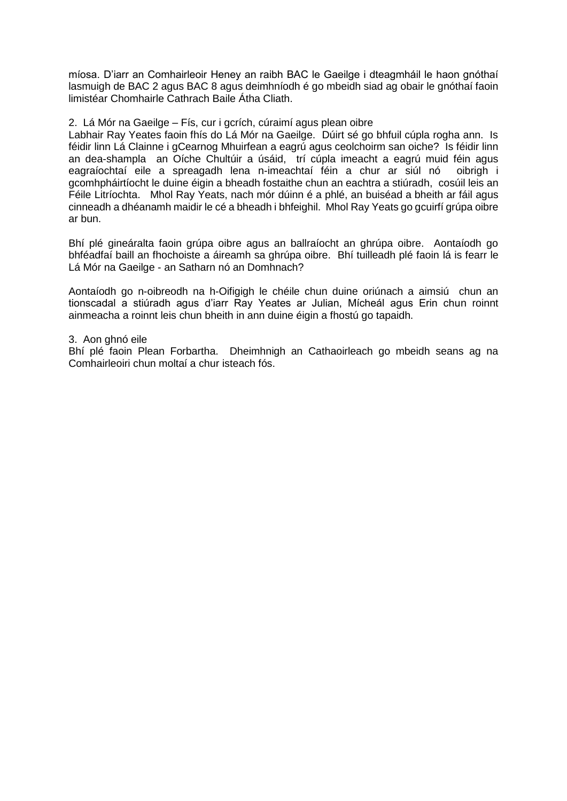míosa. D'iarr an Comhairleoir Heney an raibh BAC le Gaeilge i dteagmháil le haon gnóthaí lasmuigh de BAC 2 agus BAC 8 agus deimhníodh é go mbeidh siad ag obair le gnóthaí faoin limistéar Chomhairle Cathrach Baile Átha Cliath.

## 2. Lá Mór na Gaeilge – Fís, cur i gcrích, cúraimí agus plean oibre

Labhair Ray Yeates faoin fhís do Lá Mór na Gaeilge. Dúirt sé go bhfuil cúpla rogha ann. Is féidir linn Lá Clainne i gCearnog Mhuirfean a eagrú agus ceolchoirm san oiche? Is féidir linn an dea-shampla an Oíche Chultúir a úsáid, trí cúpla imeacht a eagrú muid féin agus eagraíochtaí eile a spreagadh lena n-imeachtaí féin a chur ar siúl nó oibrigh i gcomhpháirtíocht le duine éigin a bheadh fostaithe chun an eachtra a stiúradh, cosúil leis an Féile Litríochta. Mhol Ray Yeats, nach mór dúinn é a phlé, an buiséad a bheith ar fáil agus cinneadh a dhéanamh maidir le cé a bheadh i bhfeighil. Mhol Ray Yeats go gcuirfí grúpa oibre ar bun.

Bhí plé gineáralta faoin grúpa oibre agus an ballraíocht an ghrúpa oibre. Aontaíodh go bhféadfaí baill an fhochoiste a áireamh sa ghrúpa oibre. Bhí tuilleadh plé faoin lá is fearr le Lá Mór na Gaeilge - an Satharn nó an Domhnach?

Aontaíodh go n-oibreodh na h-Oifigigh le chéile chun duine oriúnach a aimsiú chun an tionscadal a stiúradh agus d'iarr Ray Yeates ar Julian, Mícheál agus Erin chun roinnt ainmeacha a roinnt leis chun bheith in ann duine éigin a fhostú go tapaidh.

## 3. Aon ghnó eile

Bhí plé faoin Plean Forbartha. Dheimhnigh an Cathaoirleach go mbeidh seans ag na Comhairleoiri chun moltaí a chur isteach fós.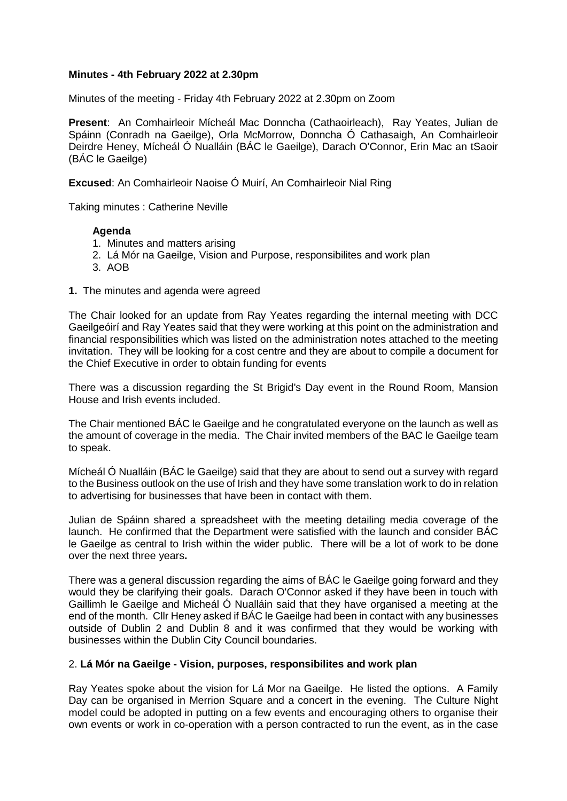## **Minutes - 4th February 2022 at 2.30pm**

Minutes of the meeting - Friday 4th February 2022 at 2.30pm on Zoom

**Present**: An Comhairleoir Mícheál Mac Donncha (Cathaoirleach), Ray Yeates, Julian de Spáinn (Conradh na Gaeilge), Orla McMorrow, Donncha Ó Cathasaigh, An Comhairleoir Deirdre Heney, Mícheál Ó Nualláin (BÁC le Gaeilge), Darach O'Connor, Erin Mac an tSaoir (BÁC le Gaeilge)

**Excused**: An Comhairleoir Naoise Ó Muirí, An Comhairleoir Nial Ring

Taking minutes : Catherine Neville

#### **Agenda**

- 1. Minutes and matters arising
- 2. Lá Mór na Gaeilge, Vision and Purpose, responsibilites and work plan
- 3. AOB
- **1.** The minutes and agenda were agreed

The Chair looked for an update from Ray Yeates regarding the internal meeting with DCC Gaeilgeóirí and Ray Yeates said that they were working at this point on the administration and financial responsibilities which was listed on the administration notes attached to the meeting invitation. They will be looking for a cost centre and they are about to compile a document for the Chief Executive in order to obtain funding for events

There was a discussion regarding the St Brigid's Day event in the Round Room, Mansion House and Irish events included.

The Chair mentioned BÁC le Gaeilge and he congratulated everyone on the launch as well as the amount of coverage in the media. The Chair invited members of the BAC le Gaeilge team to speak.

Mícheál Ó Nualláin (BÁC le Gaeilge) said that they are about to send out a survey with regard to the Business outlook on the use of Irish and they have some translation work to do in relation to advertising for businesses that have been in contact with them.

Julian de Spáinn shared a spreadsheet with the meeting detailing media coverage of the launch. He confirmed that the Department were satisfied with the launch and consider BÁC le Gaeilge as central to Irish within the wider public. There will be a lot of work to be done over the next three years**.**

There was a general discussion regarding the aims of BÁC le Gaeilge going forward and they would they be clarifying their goals. Darach O'Connor asked if they have been in touch with Gaillimh le Gaeilge and Micheál Ó Nualláin said that they have organised a meeting at the end of the month. Cllr Heney asked if BÁC le Gaeilge had been in contact with any businesses outside of Dublin 2 and Dublin 8 and it was confirmed that they would be working with businesses within the Dublin City Council boundaries.

#### 2. **Lá Mór na Gaeilge - Vision, purposes, responsibilites and work plan**

Ray Yeates spoke about the vision for Lá Mor na Gaeilge. He listed the options. A Family Day can be organised in Merrion Square and a concert in the evening. The Culture Night model could be adopted in putting on a few events and encouraging others to organise their own events or work in co-operation with a person contracted to run the event, as in the case